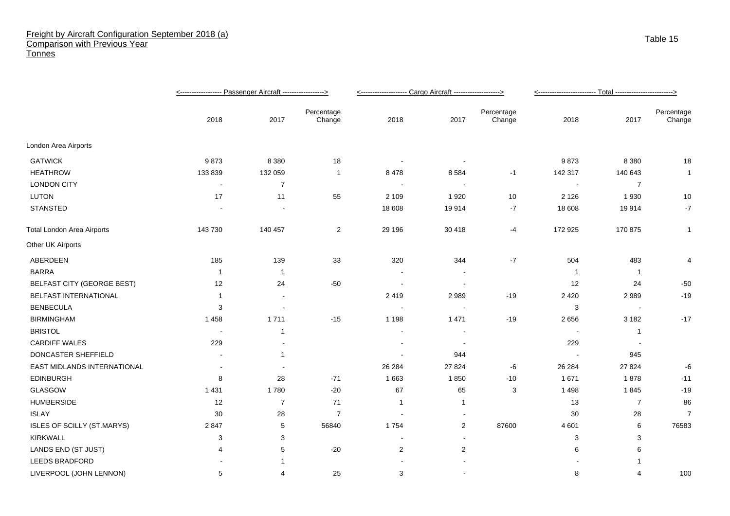## Freight by Aircraft Configuration September 2018 (a) Comparison with Previous Year **Tonnes**

|                                   |                          |                |                      | <-------------------- Cargo Aircraft -------------------> |                          |                      |         |                |                      |
|-----------------------------------|--------------------------|----------------|----------------------|-----------------------------------------------------------|--------------------------|----------------------|---------|----------------|----------------------|
|                                   | 2018                     | 2017           | Percentage<br>Change | 2018                                                      | 2017                     | Percentage<br>Change | 2018    | 2017           | Percentage<br>Change |
| London Area Airports              |                          |                |                      |                                                           |                          |                      |         |                |                      |
| <b>GATWICK</b>                    | 9873                     | 8 3 8 0        | 18                   | $\overline{\phantom{a}}$                                  | $\overline{\phantom{a}}$ |                      | 9873    | 8 3 8 0        | 18                   |
| <b>HEATHROW</b>                   | 133 839                  | 132 059        | $\mathbf{1}$         | 8478                                                      | 8584                     | $-1$                 | 142 317 | 140 643        | $\mathbf{1}$         |
| <b>LONDON CITY</b>                | $\overline{\phantom{a}}$ | $\overline{7}$ |                      |                                                           | $\overline{\phantom{a}}$ |                      |         | $\overline{7}$ |                      |
| <b>LUTON</b>                      | 17                       | 11             | 55                   | 2 1 0 9                                                   | 1920                     | $10$                 | 2 1 2 6 | 1930           | 10                   |
| <b>STANSTED</b>                   |                          |                |                      | 18 608                                                    | 19914                    | -7                   | 18 608  | 19914          | $-7$                 |
| <b>Total London Area Airports</b> | 143 730                  | 140 457        | $\overline{2}$       | 29 19 6                                                   | 30 418                   | -4                   | 172 925 | 170 875        | $\mathbf 1$          |
| Other UK Airports                 |                          |                |                      |                                                           |                          |                      |         |                |                      |
| ABERDEEN                          | 185                      | 139            | 33                   | 320                                                       | 344                      | $-7$                 | 504     | 483            | $\overline{4}$       |
| <b>BARRA</b>                      | $\overline{1}$           | $\overline{1}$ |                      |                                                           |                          |                      | - 1     | $\overline{1}$ |                      |
| <b>BELFAST CITY (GEORGE BEST)</b> | 12                       | 24             | $-50$                |                                                           |                          |                      | 12      | 24             | $-50$                |
| BELFAST INTERNATIONAL             | -1                       | $\sim$         |                      | 2419                                                      | 2989                     | $-19$                | 2 4 2 0 | 2989           | $-19$                |
| <b>BENBECULA</b>                  | 3                        |                |                      |                                                           |                          |                      | 3       |                |                      |
| <b>BIRMINGHAM</b>                 | 1458                     | 1711           | $-15$                | 1 1 9 8                                                   | 1 4 7 1                  | $-19$                | 2656    | 3 1 8 2        | $-17$                |
| <b>BRISTOL</b>                    | $\blacksquare$           | $\mathbf{1}$   |                      |                                                           | $\overline{\phantom{a}}$ |                      |         | $\overline{1}$ |                      |
| <b>CARDIFF WALES</b>              | 229                      |                |                      |                                                           |                          |                      | 229     |                |                      |
| DONCASTER SHEFFIELD               |                          | $\mathbf{1}$   |                      |                                                           | 944                      |                      |         | 945            |                      |
| EAST MIDLANDS INTERNATIONAL       |                          |                |                      | 26 284                                                    | 27 8 24                  | -6                   | 26 284  | 27 8 24        | -6                   |
| <b>EDINBURGH</b>                  | 8                        | 28             | $-71$                | 1 6 6 3                                                   | 1850                     | $-10$                | 1 671   | 1878           | $-11$                |
| GLASGOW                           | 1 4 3 1                  | 1780           | $-20$                | 67                                                        | 65                       | 3                    | 1498    | 1845           | $-19$                |
| <b>HUMBERSIDE</b>                 | 12                       | $\overline{7}$ | 71                   | $\mathbf{1}$                                              | $\mathbf{1}$             |                      | 13      | $\overline{7}$ | 86                   |
| <b>ISLAY</b>                      | 30                       | 28             | $\overline{7}$       | $\overline{\phantom{a}}$                                  | $\overline{\phantom{a}}$ |                      | 30      | 28             | $\overline{7}$       |
| ISLES OF SCILLY (ST.MARYS)        | 2847                     | 5              | 56840                | 1754                                                      | $\overline{2}$           | 87600                | 4 601   | 6              | 76583                |
| <b>KIRKWALL</b>                   | 3                        | 3              |                      |                                                           |                          |                      | 3       | 3              |                      |
| LANDS END (ST JUST)               | 4                        | 5              | $-20$                | $\overline{c}$                                            | 2                        |                      | 6       | 6              |                      |
| <b>LEEDS BRADFORD</b>             |                          |                |                      |                                                           |                          |                      |         |                |                      |
| LIVERPOOL (JOHN LENNON)           | 5                        | 4              | 25                   | 3                                                         | $\sim$                   |                      | 8       |                | 100                  |